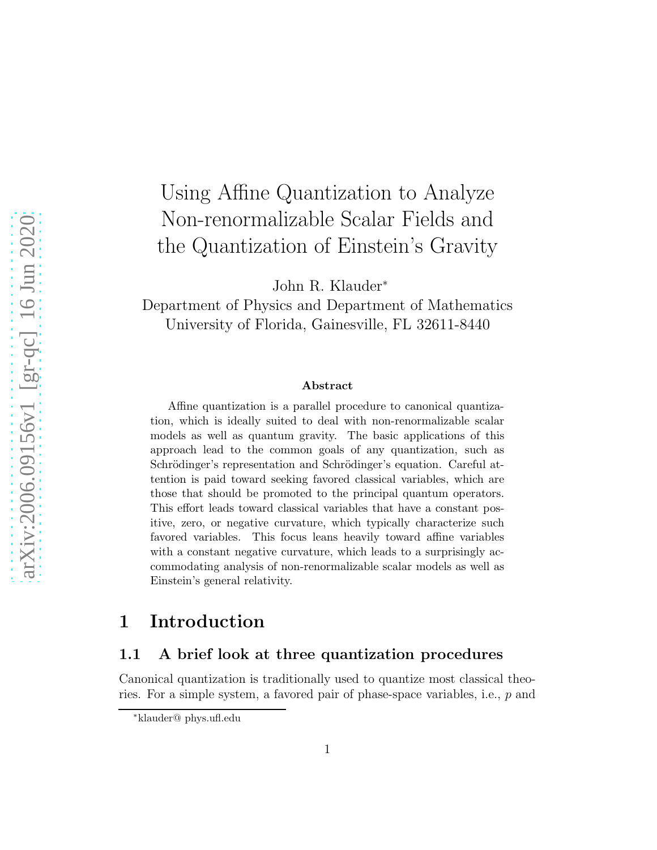# Using Affine Quantization to Analyze Non-renormalizable Scalar Fields and the Quantization of Einstein's Gravity

John R. Klauder<sup>∗</sup>

Department of Physics and Department of Mathematics University of Florida, Gainesville, FL 32611-8440

#### Abstract

Affine quantization is a parallel procedure to canonical quantization, which is ideally suited to deal with non-renormalizable scalar models as well as quantum gravity. The basic applications of this approach lead to the common goals of any quantization, such as Schrödinger's representation and Schrödinger's equation. Careful attention is paid toward seeking favored classical variables, which are those that should be promoted to the principal quantum operators. This effort leads toward classical variables that have a constant positive, zero, or negative curvature, which typically characterize such favored variables. This focus leans heavily toward affine variables with a constant negative curvature, which leads to a surprisingly accommodating analysis of non-renormalizable scalar models as well as Einstein's general relativity.

### 1 Introduction

#### 1.1 A brief look at three quantization procedures

Canonical quantization is traditionally used to quantize most classical theories. For a simple system, a favored pair of phase-space variables, i.e., p and

<sup>∗</sup>klauder@ phys.ufl.edu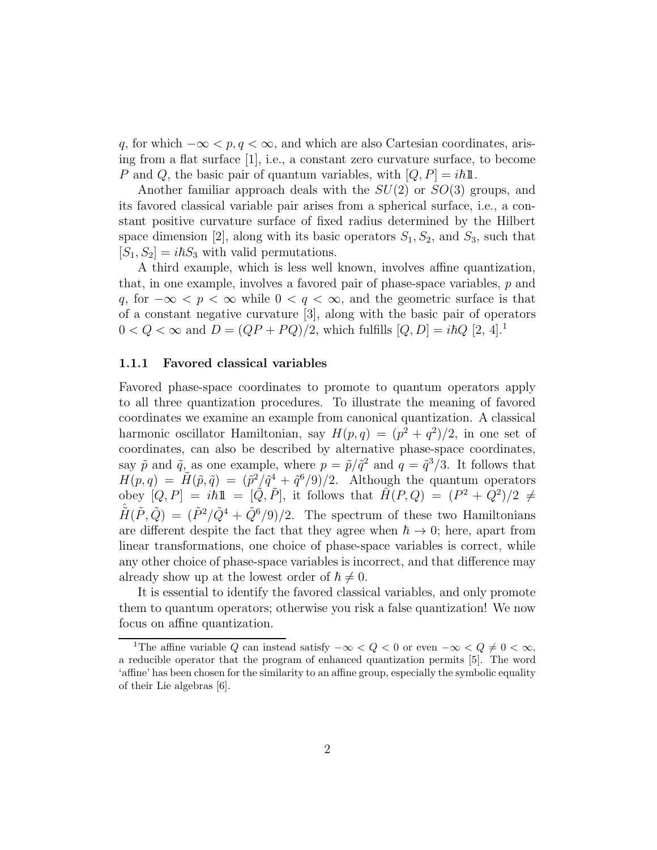q, for which  $-\infty < p, q < \infty$ , and which are also Cartesian coordinates, arising from a flat surface  $[1]$ , i.e., a constant zero curvature surface, to become P and Q, the basic pair of quantum variables, with  $[Q, P] = i\hbar \mathbb{1}.$ 

Another familiar approach deals with the  $SU(2)$  or  $SO(3)$  groups, and its favored classical variable pair arises from a spherical surface, i.e., a constant positive curvature surface of fixed radius determined by the Hilbert space dimension [2], along with its basic operators  $S_1, S_2$ , and  $S_3$ , such that  $[S_1, S_2] = i\hbar S_3$  with valid permutations.

A third example, which is less well known, involves affine quantization, that, in one example, involves a favored pair of phase-space variables, p and q, for  $-\infty < p < \infty$  while  $0 < q < \infty$ , and the geometric surface is that of a constant negative curvature [3], along with the basic pair of operators  $0 < Q < \infty$  and  $D = (QP + PQ)/2$ , which fulfills  $[Q, D] = i\hbar Q$  [2, 4].<sup>1</sup>

#### 1.1.1 Favored classical variables

Favored phase-space coordinates to promote to quantum operators apply to all three quantization procedures. To illustrate the meaning of favored coordinates we examine an example from canonical quantization. A classical harmonic oscillator Hamiltonian, say  $H(p,q) = (p^2 + q^2)/2$ , in one set of coordinates, can also be described by alternative phase-space coordinates, say  $\tilde{p}$  and  $\tilde{q}$ , as one example, where  $p = \tilde{p}/\tilde{q}^2$  and  $q = \tilde{q}^3/3$ . It follows that  $H(p,q) = \tilde{H}(\tilde{p},\tilde{q}) = (\tilde{p}^2/\tilde{q}^4 + \tilde{q}^6/9)/2.$  Although the quantum operators obey  $[Q, P] = i\hbar 1\!\!1 = [\tilde{Q}, \tilde{P}],$  it follows that  $\hat{H}(P, Q) = (P^2 + Q^2)/2 \neq$  $\hat{H}(\tilde{P},\tilde{Q}) = (\tilde{P}^2/\tilde{Q}^4 + \tilde{Q}^6/9)/2$ . The spectrum of these two Hamiltonians are different despite the fact that they agree when  $\hbar \rightarrow 0$ ; here, apart from linear transformations, one choice of phase-space variables is correct, while any other choice of phase-space variables is incorrect, and that difference may already show up at the lowest order of  $\hbar \neq 0$ .

It is essential to identify the favored classical variables, and only promote them to quantum operators; otherwise you risk a false quantization! We now focus on affine quantization.

<sup>&</sup>lt;sup>1</sup>The affine variable Q can instead satisfy  $-\infty < Q < 0$  or even  $-\infty < Q \neq 0 < \infty$ , a reducible operator that the program of enhanced quantization permits [5]. The word 'affine' has been chosen for the similarity to an affine group, especially the symbolic equality of their Lie algebras [6].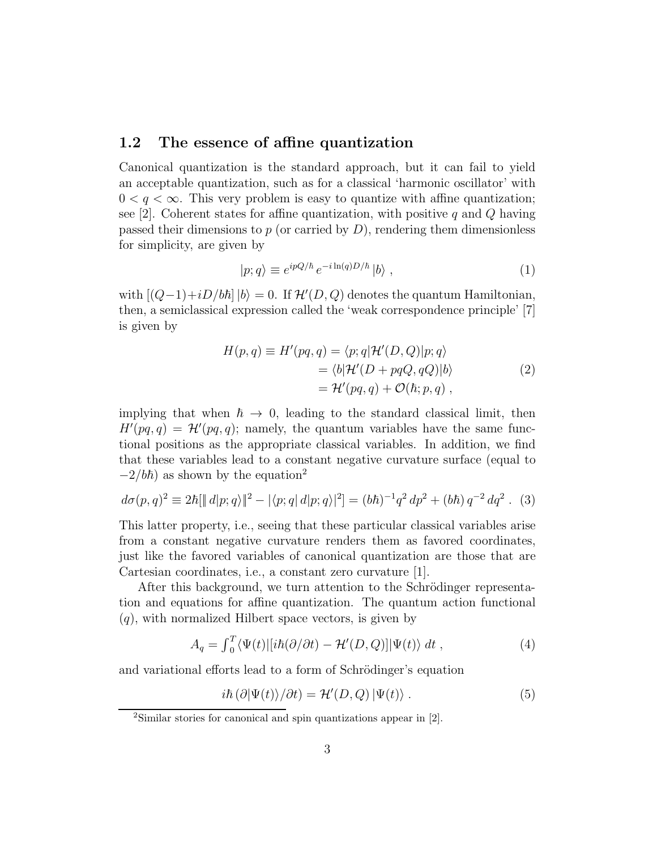#### 1.2 The essence of affine quantization

Canonical quantization is the standard approach, but it can fail to yield an acceptable quantization, such as for a classical 'harmonic oscillator' with  $0 < q < \infty$ . This very problem is easy to quantize with affine quantization; see [2]. Coherent states for affine quantization, with positive q and  $Q$  having passed their dimensions to  $p$  (or carried by  $D$ ), rendering them dimensionless for simplicity, are given by

$$
|p;q\rangle \equiv e^{ipQ/\hbar} \, e^{-i\ln(q)D/\hbar} \, |b\rangle \,, \tag{1}
$$

with  $[(Q-1)+iD/b\hbar] |b\rangle = 0$ . If  $\mathcal{H}'(D,Q)$  denotes the quantum Hamiltonian, then, a semiclassical expression called the 'weak correspondence principle' [7] is given by

$$
H(p,q) \equiv H'(pq,q) = \langle p;q|\mathcal{H}'(D,Q)|p;q\rangle
$$
  
=  $\langle b|\mathcal{H}'(D + pqQ, qQ)|b\rangle$   
=  $\mathcal{H}'(pq,q) + \mathcal{O}(\hbar; p, q)$ , (2)

implying that when  $\hbar \rightarrow 0$ , leading to the standard classical limit, then  $H'(pq, q) = \mathcal{H}'(pq, q)$ ; namely, the quantum variables have the same functional positions as the appropriate classical variables. In addition, we find that these variables lead to a constant negative curvature surface (equal to  $-2/b\hbar$ ) as shown by the equation<sup>2</sup>

$$
d\sigma(p,q)^2 \equiv 2\hbar[\|d|p;q\rangle\|^2 - |\langle p;q|d|p;q\rangle|^2] = (b\hbar)^{-1}q^2 dp^2 + (b\hbar)q^{-2}dq^2.
$$
 (3)

This latter property, i.e., seeing that these particular classical variables arise from a constant negative curvature renders them as favored coordinates, just like the favored variables of canonical quantization are those that are Cartesian coordinates, i.e., a constant zero curvature [1].

After this background, we turn attention to the Schrödinger representation and equations for affine quantization. The quantum action functional  $(q)$ , with normalized Hilbert space vectors, is given by

$$
A_q = \int_0^T \langle \Psi(t) | [i\hbar(\partial/\partial t) - \mathcal{H}'(D, Q)] | \Psi(t) \rangle dt , \qquad (4)
$$

and variational efforts lead to a form of Schrödinger's equation

$$
i\hbar \left(\partial |\Psi(t)\rangle/\partial t\right) = \mathcal{H}'(D,Q) \left|\Psi(t)\right\rangle. \tag{5}
$$

<sup>2</sup>Similar stories for canonical and spin quantizations appear in [2].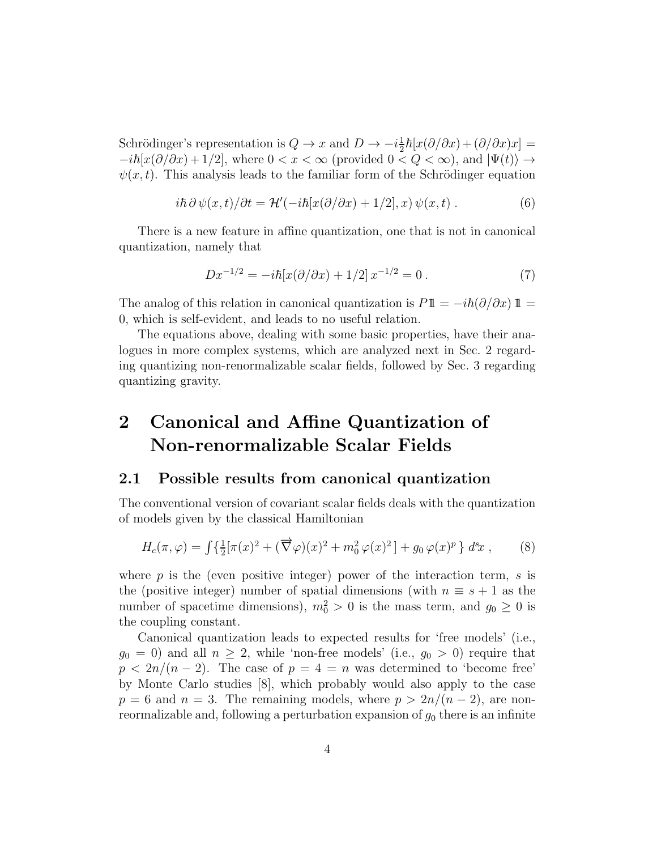Schrödinger's representation is  $Q \to x$  and  $D \to -i\frac{1}{2}$  $\frac{1}{2}\hbar[x(\partial/\partial x) + (\partial/\partial x)x] =$  $-i\hbar[x(\partial/\partial x)+1/2]$ , where  $0 < x < \infty$  (provided  $0 < Q < \infty$ ), and  $|\Psi(t)\rangle \rightarrow$  $\psi(x, t)$ . This analysis leads to the familiar form of the Schrödinger equation

$$
i\hbar \,\partial \psi(x,t)/\partial t = \mathcal{H}'(-i\hbar[x(\partial/\partial x) + 1/2],x)\,\psi(x,t) \,. \tag{6}
$$

There is a new feature in affine quantization, one that is not in canonical quantization, namely that

$$
Dx^{-1/2} = -i\hbar[x(\partial/\partial x) + 1/2] x^{-1/2} = 0.
$$
 (7)

The analog of this relation in canonical quantization is  $P1\mathbb{1} = -i\hbar(\partial/\partial x) \mathbb{1} =$ 0, which is self-evident, and leads to no useful relation.

The equations above, dealing with some basic properties, have their analogues in more complex systems, which are analyzed next in Sec. 2 regarding quantizing non-renormalizable scalar fields, followed by Sec. 3 regarding quantizing gravity.

## 2 Canonical and Affine Quantization of Non-renormalizable Scalar Fields

#### 2.1 Possible results from canonical quantization

The conventional version of covariant scalar fields deals with the quantization of models given by the classical Hamiltonian

$$
H_c(\pi,\varphi) = \int \left\{ \frac{1}{2} [\pi(x)^2 + (\overrightarrow{\nabla}\varphi)(x)^2 + m_0^2 \varphi(x)^2] + g_0 \varphi(x)^p \right\} d^s x , \qquad (8)
$$

where  $p$  is the (even positive integer) power of the interaction term,  $s$  is the (positive integer) number of spatial dimensions (with  $n \equiv s + 1$  as the number of spacetime dimensions),  $m_0^2 > 0$  is the mass term, and  $g_0 \ge 0$  is the coupling constant.

Canonical quantization leads to expected results for 'free models' (i.e.,  $g_0 = 0$ ) and all  $n \geq 2$ , while 'non-free models' (i.e.,  $g_0 > 0$ ) require that  $p < 2n/(n-2)$ . The case of  $p = 4 = n$  was determined to 'become free' by Monte Carlo studies [8], which probably would also apply to the case  $p = 6$  and  $n = 3$ . The remaining models, where  $p > 2n/(n-2)$ , are nonreormalizable and, following a perturbation expansion of  $g_0$  there is an infinite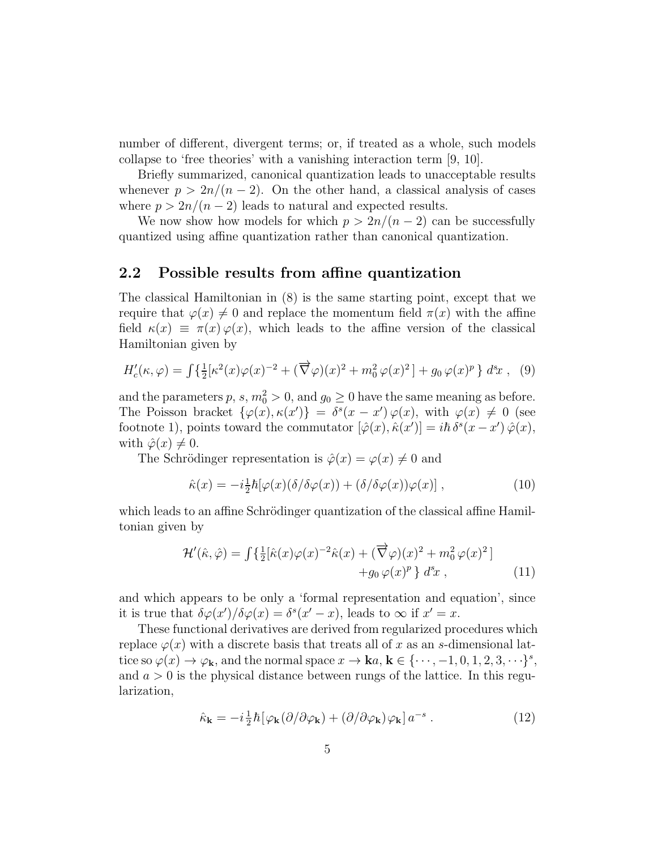number of different, divergent terms; or, if treated as a whole, such models collapse to 'free theories' with a vanishing interaction term [9, 10].

Briefly summarized, canonical quantization leads to unacceptable results whenever  $p > 2n/(n-2)$ . On the other hand, a classical analysis of cases where  $p > 2n/(n-2)$  leads to natural and expected results.

We now show how models for which  $p > 2n/(n-2)$  can be successfully quantized using affine quantization rather than canonical quantization.

#### 2.2 Possible results from affine quantization

The classical Hamiltonian in (8) is the same starting point, except that we require that  $\varphi(x) \neq 0$  and replace the momentum field  $\pi(x)$  with the affine field  $\kappa(x) \equiv \pi(x) \varphi(x)$ , which leads to the affine version of the classical Hamiltonian given by

$$
H'_{c}(\kappa,\varphi) = \int \left\{ \frac{1}{2} [\kappa^2(x)\varphi(x)^{-2} + (\overrightarrow{\nabla}\varphi)(x)^2 + m_0^2 \varphi(x)^2] + g_0 \varphi(x)^p \right\} dx , \tag{9}
$$

and the parameters  $p, s, m_0^2 > 0$ , and  $g_0 \ge 0$  have the same meaning as before. The Poisson bracket  $\{\varphi(x), \kappa(x')\} = \delta^s(x - x') \varphi(x)$ , with  $\varphi(x) \neq 0$  (see footnote 1), points toward the commutator  $[\hat{\varphi}(x), \hat{\kappa}(x')] = i\hbar \delta^{s}(x - x') \hat{\varphi}(x)$ , with  $\hat{\varphi}(x) \neq 0$ .

The Schrödinger representation is  $\hat{\varphi}(x) = \varphi(x) \neq 0$  and

$$
\hat{\kappa}(x) = -i\frac{1}{2}\hbar[\varphi(x)(\delta/\delta\varphi(x)) + (\delta/\delta\varphi(x))\varphi(x)],
$$
\n(10)

which leads to an affine Schrödinger quantization of the classical affine Hamiltonian given by

$$
\mathcal{H}'(\hat{\kappa}, \hat{\varphi}) = \int \left\{ \frac{1}{2} [\hat{\kappa}(x)\varphi(x)^{-2}\hat{\kappa}(x) + (\overrightarrow{\nabla}\varphi)(x)^{2} + m_{0}^{2}\varphi(x)^{2}] + g_{0}\varphi(x)^{p} \right\} d^{s}x , \qquad (11)
$$

and which appears to be only a 'formal representation and equation', since it is true that  $\delta\varphi(x')/\delta\varphi(x) = \delta^s(x'-x)$ , leads to  $\infty$  if  $x'=x$ .

These functional derivatives are derived from regularized procedures which replace  $\varphi(x)$  with a discrete basis that treats all of x as an s-dimensional lattice so  $\varphi(x) \to \varphi_k$ , and the normal space  $x \to \mathbf{k}a, \mathbf{k} \in \{\cdots, -1, 0, 1, 2, 3, \cdots\}^s$ , and  $a > 0$  is the physical distance between rungs of the lattice. In this regularization,

$$
\hat{\kappa}_{\mathbf{k}} = -i\frac{1}{2}\hbar \left[ \varphi_{\mathbf{k}} (\partial/\partial \varphi_{\mathbf{k}}) + (\partial/\partial \varphi_{\mathbf{k}}) \varphi_{\mathbf{k}} \right] a^{-s} . \tag{12}
$$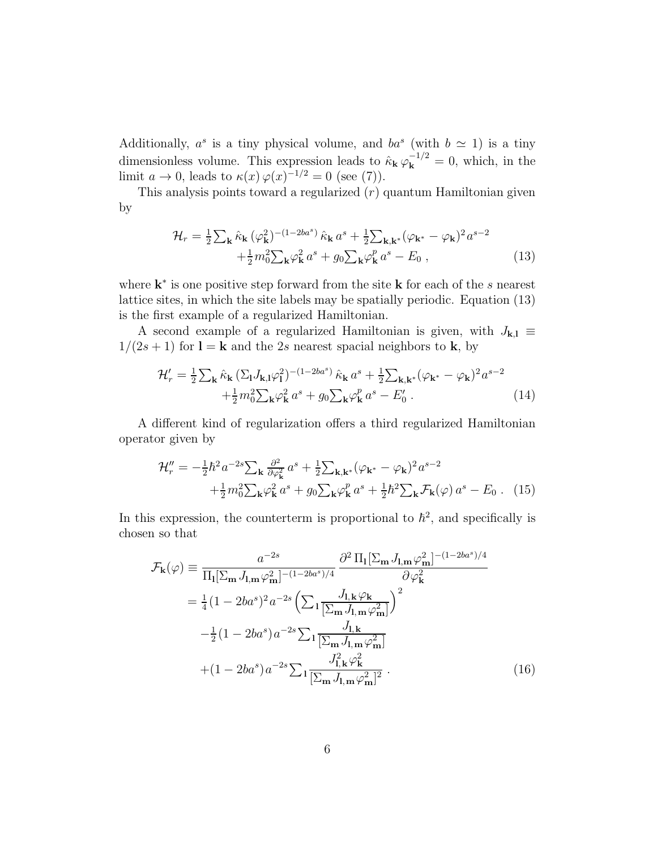Additionally,  $a^s$  is a tiny physical volume, and  $ba^s$  (with  $b \simeq 1$ ) is a tiny dimensionless volume. This expression leads to  $\hat{\kappa}_{\mathbf{k}} \varphi_{\mathbf{k}}^{-1/2} = 0$ , which, in the limit  $a \to 0$ , leads to  $\kappa(x) \varphi(x)^{-1/2} = 0$  (see (7)).

This analysis points toward a regularized  $(r)$  quantum Hamiltonian given by

$$
\mathcal{H}_r = \frac{1}{2} \sum_{\mathbf{k}} \hat{\kappa}_{\mathbf{k}} (\varphi_{\mathbf{k}}^2)^{-(1-2ba^s)} \hat{\kappa}_{\mathbf{k}} a^s + \frac{1}{2} \sum_{\mathbf{k}, \mathbf{k}^*} (\varphi_{\mathbf{k}^*} - \varphi_{\mathbf{k}})^2 a^{s-2} + \frac{1}{2} m_0^2 \sum_{\mathbf{k}} \varphi_{\mathbf{k}}^2 a^s + g_0 \sum_{\mathbf{k}} \varphi_{\mathbf{k}}^p a^s - E_0 ,
$$
\n(13)

where  $k^*$  is one positive step forward from the site  $k$  for each of the s nearest lattice sites, in which the site labels may be spatially periodic. Equation (13) is the first example of a regularized Hamiltonian.

A second example of a regularized Hamiltonian is given, with  $J_{k,l} \equiv$  $1/(2s+1)$  for  $\mathbf{l} = \mathbf{k}$  and the 2s nearest spacial neighbors to  $\mathbf{k}$ , by

$$
\mathcal{H}'_r = \frac{1}{2} \sum_{\mathbf{k}} \hat{\kappa}_{\mathbf{k}} \left( \sum_{\mathbf{l}} J_{\mathbf{k},\mathbf{l}} \varphi_{\mathbf{l}}^2 \right)^{-(1-2ba^s)} \hat{\kappa}_{\mathbf{k}} a^s + \frac{1}{2} \sum_{\mathbf{k},\mathbf{k}^*} (\varphi_{\mathbf{k}^*} - \varphi_{\mathbf{k}})^2 a^{s-2} + \frac{1}{2} m_0^2 \sum_{\mathbf{k}} \varphi_{\mathbf{k}}^2 a^s + g_0 \sum_{\mathbf{k}} \varphi_{\mathbf{k}}^p a^s - E'_0 \tag{14}
$$

A different kind of regularization offers a third regularized Hamiltonian operator given by

$$
\mathcal{H}_r'' = -\frac{1}{2}\hbar^2 a^{-2s} \sum_{\mathbf{k}} \frac{\partial^2}{\partial \varphi_{\mathbf{k}}^2} a^s + \frac{1}{2} \sum_{\mathbf{k}, \mathbf{k}^*} (\varphi_{\mathbf{k}^*} - \varphi_{\mathbf{k}})^2 a^{s-2} + \frac{1}{2} m_0^2 \sum_{\mathbf{k}} \varphi_{\mathbf{k}}^2 a^s + g_0 \sum_{\mathbf{k}} \varphi_{\mathbf{k}}^p a^s + \frac{1}{2} \hbar^2 \sum_{\mathbf{k}} \mathcal{F}_{\mathbf{k}}(\varphi) a^s - E_0 \quad (15)
$$

In this expression, the counterterm is proportional to  $\hbar^2$ , and specifically is chosen so that

$$
\mathcal{F}_{\mathbf{k}}(\varphi) \equiv \frac{a^{-2s}}{\Pi_{\mathbf{l}}[\Sigma_{\mathbf{m}} J_{\mathbf{l}, \mathbf{m}} \varphi_{\mathbf{m}}^2]^{-(1-2ba^s)/4}} \frac{\partial^2 \Pi_{\mathbf{l}}[\Sigma_{\mathbf{m}} J_{\mathbf{l}, \mathbf{m}} \varphi_{\mathbf{m}}^2]^{-(1-2ba^s)/4}}{\partial \varphi_{\mathbf{k}}^2}
$$
  
\n
$$
= \frac{1}{4} (1 - 2ba^s)^2 a^{-2s} \left( \sum_{\mathbf{l}} \frac{J_{\mathbf{l}, \mathbf{k}} \varphi_{\mathbf{k}}}{[\Sigma_{\mathbf{m}} J_{\mathbf{l}, \mathbf{m}} \varphi_{\mathbf{m}}^2]} \right)^2
$$
  
\n
$$
- \frac{1}{2} (1 - 2ba^s) a^{-2s} \sum_{\mathbf{l}} \frac{J_{\mathbf{l}, \mathbf{k}}}{[\Sigma_{\mathbf{m}} J_{\mathbf{l}, \mathbf{m}} \varphi_{\mathbf{m}}^2]}
$$
  
\n
$$
+ (1 - 2ba^s) a^{-2s} \sum_{\mathbf{l}} \frac{J_{\mathbf{l}, \mathbf{k}}^2 \varphi_{\mathbf{k}}^2}{[\Sigma_{\mathbf{m}} J_{\mathbf{l}, \mathbf{m}} \varphi_{\mathbf{m}}^2]^2}. \tag{16}
$$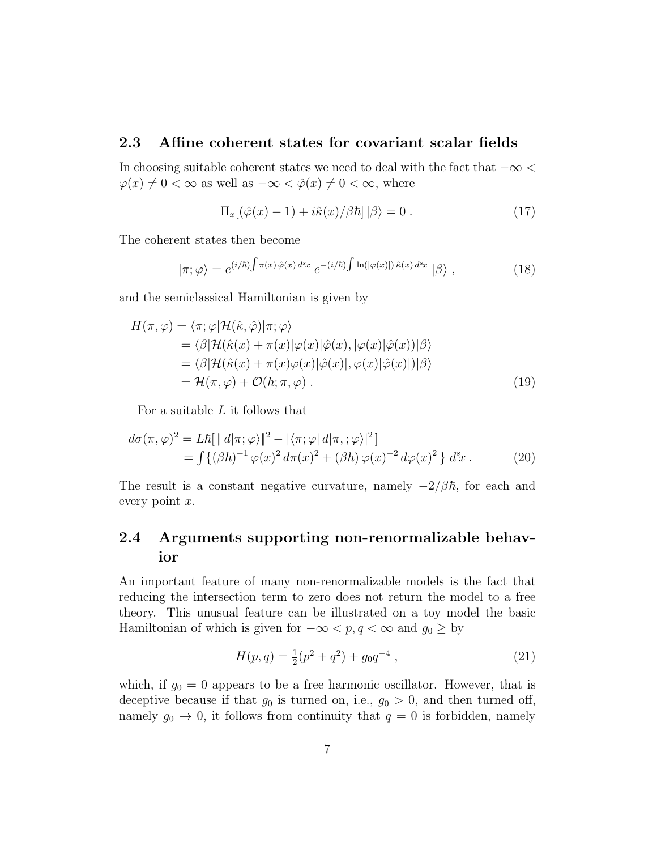#### 2.3 Affine coherent states for covariant scalar fields

In choosing suitable coherent states we need to deal with the fact that  $-\infty$  $\varphi(x) \neq 0 < \infty$  as well as  $-\infty < \hat{\varphi}(x) \neq 0 < \infty$ , where

$$
\Pi_x[(\hat{\varphi}(x) - 1) + i\hat{\kappa}(x)/\beta\hbar] | \beta \rangle = 0.
$$
 (17)

The coherent states then become

$$
|\pi; \varphi\rangle = e^{(i/\hbar) \int \pi(x) \hat{\varphi}(x) d^s x} e^{-(i/\hbar) \int \ln(|\varphi(x)|) \hat{\kappa}(x) d^s x} |\beta\rangle , \qquad (18)
$$

and the semiclassical Hamiltonian is given by

$$
H(\pi, \varphi) = \langle \pi; \varphi | \mathcal{H}(\hat{\kappa}, \hat{\varphi}) | \pi; \varphi \rangle
$$
  
\n
$$
= \langle \beta | \mathcal{H}(\hat{\kappa}(x) + \pi(x) | \varphi(x) | \hat{\varphi}(x), |\varphi(x) | \hat{\varphi}(x)) | \beta \rangle
$$
  
\n
$$
= \langle \beta | \mathcal{H}(\hat{\kappa}(x) + \pi(x) \varphi(x) | \hat{\varphi}(x), |\varphi(x) | \hat{\varphi}(x)) | \beta \rangle
$$
  
\n
$$
= \mathcal{H}(\pi, \varphi) + \mathcal{O}(\hbar; \pi, \varphi) . \tag{19}
$$

For a suitable L it follows that

$$
d\sigma(\pi,\varphi)^2 = L\hbar[\,||d|\pi;\varphi\rangle\,|^2 - |\langle\pi;\varphi|\,d|\pi,\varphi\rangle|^2]
$$
  
= 
$$
\int \{(\beta\hbar)^{-1}\varphi(x)^2\,d\pi(x)^2 + (\beta\hbar)\varphi(x)^{-2}\,d\varphi(x)^2\}\,d^3x.
$$
 (20)

The result is a constant negative curvature, namely  $-2/\beta\hbar$ , for each and every point  $x$ .

### 2.4 Arguments supporting non-renormalizable behavior

An important feature of many non-renormalizable models is the fact that reducing the intersection term to zero does not return the model to a free theory. This unusual feature can be illustrated on a toy model the basic Hamiltonian of which is given for  $-\infty < p, q < \infty$  and  $g_0 \geq$  by

$$
H(p,q) = \frac{1}{2}(p^2 + q^2) + g_0 q^{-4}, \qquad (21)
$$

which, if  $g_0 = 0$  appears to be a free harmonic oscillator. However, that is deceptive because if that  $g_0$  is turned on, i.e.,  $g_0 > 0$ , and then turned off, namely  $g_0 \to 0$ , it follows from continuity that  $q = 0$  is forbidden, namely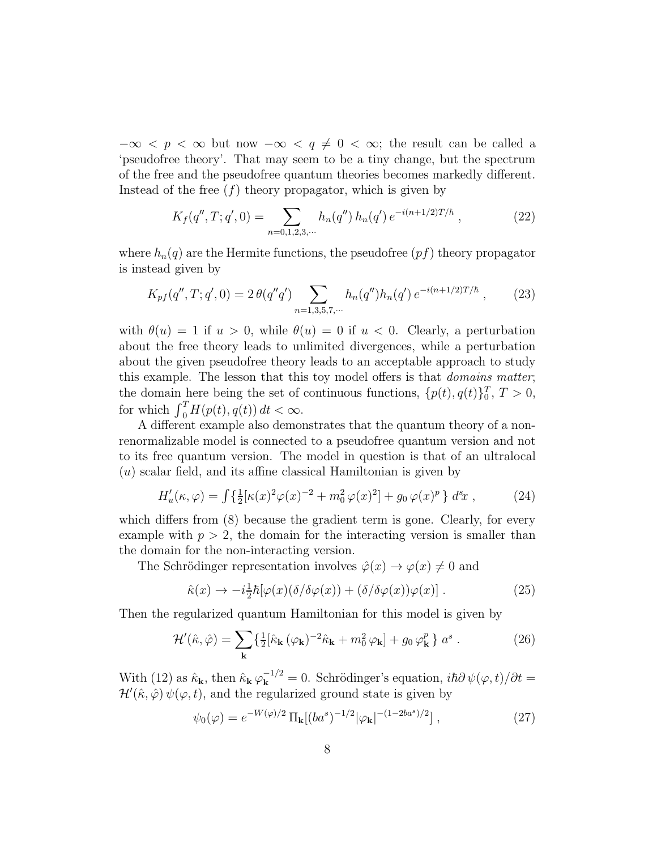$-\infty < p < \infty$  but now  $-\infty < q \neq 0 < \infty$ ; the result can be called a 'pseudofree theory'. That may seem to be a tiny change, but the spectrum of the free and the pseudofree quantum theories becomes markedly different. Instead of the free  $(f)$  theory propagator, which is given by

$$
K_f(q'', T; q', 0) = \sum_{n=0,1,2,3,\cdots} h_n(q'') h_n(q') e^{-i(n+1/2)T/\hbar}, \qquad (22)
$$

where  $h_n(q)$  are the Hermite functions, the pseudofree  $(pf)$  theory propagator is instead given by

$$
K_{pf}(q'', T; q', 0) = 2 \theta(q''q') \sum_{n=1,3,5,7,\cdots} h_n(q'') h_n(q') e^{-i(n+1/2)T/\hbar}, \qquad (23)
$$

with  $\theta(u) = 1$  if  $u > 0$ , while  $\theta(u) = 0$  if  $u < 0$ . Clearly, a perturbation about the free theory leads to unlimited divergences, while a perturbation about the given pseudofree theory leads to an acceptable approach to study this example. The lesson that this toy model offers is that domains matter; the domain here being the set of continuous functions,  $\{p(t), q(t)\}_0^T$ ,  $T > 0$ , for which  $\int_0^T H(p(t), q(t)) dt < \infty$ .

A different example also demonstrates that the quantum theory of a nonrenormalizable model is connected to a pseudofree quantum version and not to its free quantum version. The model in question is that of an ultralocal (u) scalar field, and its affine classical Hamiltonian is given by

$$
H_u'(\kappa, \varphi) = \int \{ \frac{1}{2} [\kappa(x)^2 \varphi(x)^{-2} + m_0^2 \varphi(x)^2] + g_0 \varphi(x)^p \} d^s x , \qquad (24)
$$

which differs from  $(8)$  because the gradient term is gone. Clearly, for every example with  $p > 2$ , the domain for the interacting version is smaller than the domain for the non-interacting version.

The Schrödinger representation involves  $\hat{\varphi}(x) \to \varphi(x) \neq 0$  and

$$
\hat{\kappa}(x) \to -i\frac{1}{2}\hbar[\varphi(x)(\delta/\delta\varphi(x)) + (\delta/\delta\varphi(x))\varphi(x)] . \tag{25}
$$

Then the regularized quantum Hamiltonian for this model is given by

$$
\mathcal{H}'(\hat{\kappa}, \hat{\varphi}) = \sum_{\mathbf{k}} \left\{ \frac{1}{2} [\hat{\kappa}_{\mathbf{k}} (\varphi_{\mathbf{k}})^{-2} \hat{\kappa}_{\mathbf{k}} + m_0^2 \varphi_{\mathbf{k}}] + g_0 \varphi_{\mathbf{k}}^p \right\} a^s . \tag{26}
$$

With (12) as  $\hat{\kappa}_k$ , then  $\hat{\kappa}_k \varphi_k^{-1/2} = 0$ . Schrödinger's equation,  $i\hbar \partial \psi(\varphi, t)/\partial t =$  $\mathcal{H}'(\hat{\kappa}, \hat{\varphi}) \psi(\varphi, t)$ , and the regularized ground state is given by

$$
\psi_0(\varphi) = e^{-W(\varphi)/2} \Pi_{\mathbf{k}}[(ba^s)^{-1/2}|\varphi_{\mathbf{k}}|^{-(1-2ba^s)/2}], \qquad (27)
$$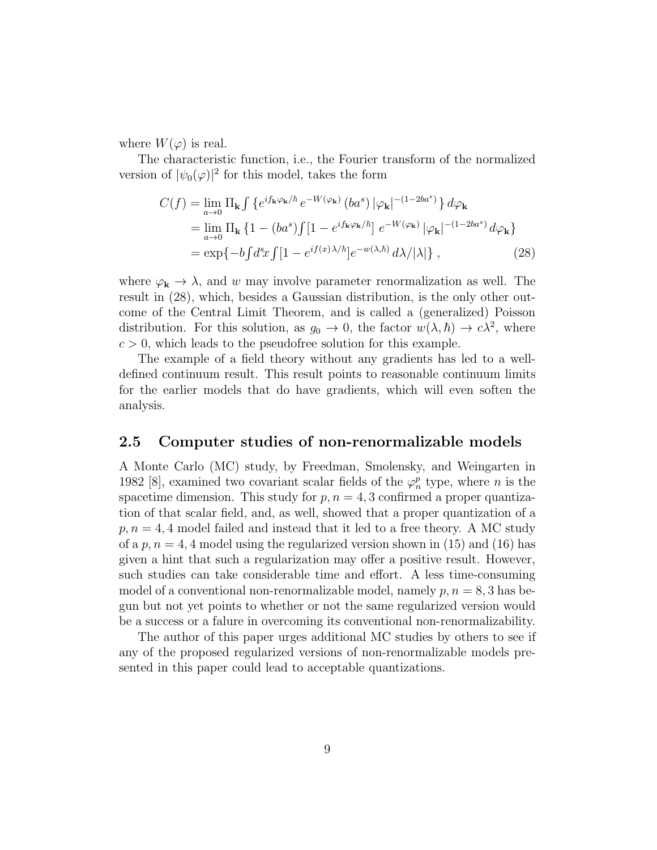where  $W(\varphi)$  is real.

The characteristic function, i.e., the Fourier transform of the normalized version of  $|\psi_0(\varphi)|^2$  for this model, takes the form

$$
C(f) = \lim_{a \to 0} \Pi_{\mathbf{k}} \int \left\{ e^{i f_{\mathbf{k}} \varphi_{\mathbf{k}} / \hbar} e^{-W(\varphi_{\mathbf{k}})} (ba^s) |\varphi_{\mathbf{k}}|^{-(1-2ba^s)} \right\} d\varphi_{\mathbf{k}}
$$
  
\n
$$
= \lim_{a \to 0} \Pi_{\mathbf{k}} \left\{ 1 - (ba^s) \int [1 - e^{i f_{\mathbf{k}} \varphi_{\mathbf{k}} / \hbar}] e^{-W(\varphi_{\mathbf{k}})} |\varphi_{\mathbf{k}}|^{-(1-2ba^s)} d\varphi_{\mathbf{k}} \right\}
$$
  
\n
$$
= \exp \{-b \int d^s x \int [1 - e^{i f(x) \lambda / \hbar}] e^{-w(\lambda, \hbar)} d\lambda / |\lambda| \}, \qquad (28)
$$

where  $\varphi_{\mathbf{k}} \to \lambda$ , and w may involve parameter renormalization as well. The result in (28), which, besides a Gaussian distribution, is the only other outcome of the Central Limit Theorem, and is called a (generalized) Poisson distribution. For this solution, as  $g_0 \to 0$ , the factor  $w(\lambda, \hbar) \to c\lambda^2$ , where  $c > 0$ , which leads to the pseudofree solution for this example.

The example of a field theory without any gradients has led to a welldefined continuum result. This result points to reasonable continuum limits for the earlier models that do have gradients, which will even soften the analysis.

#### 2.5 Computer studies of non-renormalizable models

A Monte Carlo (MC) study, by Freedman, Smolensky, and Weingarten in 1982 [8], examined two covariant scalar fields of the  $\varphi_n^p$  type, where n is the spacetime dimension. This study for  $p, n = 4, 3$  confirmed a proper quantization of that scalar field, and, as well, showed that a proper quantization of a  $p, n = 4, 4$  model failed and instead that it led to a free theory. A MC study of a p,  $n = 4$ , 4 model using the regularized version shown in (15) and (16) has given a hint that such a regularization may offer a positive result. However, such studies can take considerable time and effort. A less time-consuming model of a conventional non-renormalizable model, namely  $p, n = 8, 3$  has begun but not yet points to whether or not the same regularized version would be a success or a falure in overcoming its conventional non-renormalizability.

The author of this paper urges additional MC studies by others to see if any of the proposed regularized versions of non-renormalizable models presented in this paper could lead to acceptable quantizations.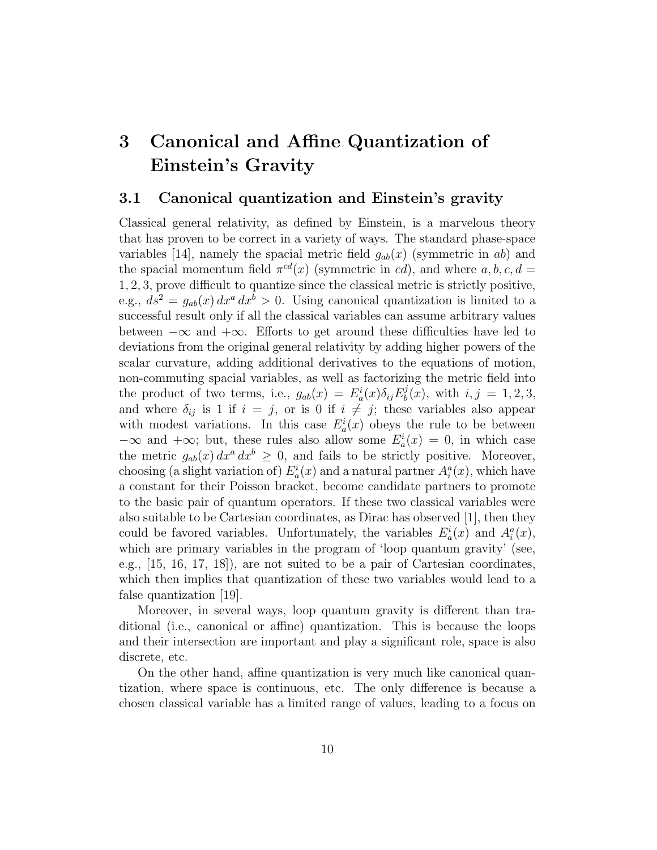## 3 Canonical and Affine Quantization of Einstein's Gravity

#### 3.1 Canonical quantization and Einstein's gravity

Classical general relativity, as defined by Einstein, is a marvelous theory that has proven to be correct in a variety of ways. The standard phase-space variables [14], namely the spacial metric field  $g_{ab}(x)$  (symmetric in ab) and the spacial momentum field  $\pi^{cd}(x)$  (symmetric in cd), and where  $a, b, c, d =$ 1, 2, 3, prove difficult to quantize since the classical metric is strictly positive, e.g.,  $ds^2 = g_{ab}(x) dx^a dx^b > 0$ . Using canonical quantization is limited to a successful result only if all the classical variables can assume arbitrary values between  $-\infty$  and  $+\infty$ . Efforts to get around these difficulties have led to deviations from the original general relativity by adding higher powers of the scalar curvature, adding additional derivatives to the equations of motion, non-commuting spacial variables, as well as factorizing the metric field into the product of two terms, i.e.,  $g_{ab}(x) = E^i_a(x)\delta_{ij}E^j_b$  $b^j_b(x)$ , with  $i, j = 1, 2, 3$ , and where  $\delta_{ij}$  is 1 if  $i = j$ , or is 0 if  $i \neq j$ ; these variables also appear with modest variations. In this case  $E_a^i(x)$  obeys the rule to be between  $-\infty$  and  $+\infty$ ; but, these rules also allow some  $E_a^i(x) = 0$ , in which case the metric  $g_{ab}(x) dx^a dx^b \geq 0$ , and fails to be strictly positive. Moreover, choosing (a slight variation of)  $E_a^i(x)$  and a natural partner  $A_i^a(x)$ , which have a constant for their Poisson bracket, become candidate partners to promote to the basic pair of quantum operators. If these two classical variables were also suitable to be Cartesian coordinates, as Dirac has observed  $|1|$ , then they could be favored variables. Unfortunately, the variables  $E_a^i(x)$  and  $A_i^a(x)$ , which are primary variables in the program of 'loop quantum gravity' (see, e.g., [15, 16, 17, 18]), are not suited to be a pair of Cartesian coordinates, which then implies that quantization of these two variables would lead to a false quantization [19].

Moreover, in several ways, loop quantum gravity is different than traditional (i.e., canonical or affine) quantization. This is because the loops and their intersection are important and play a significant role, space is also discrete, etc.

On the other hand, affine quantization is very much like canonical quantization, where space is continuous, etc. The only difference is because a chosen classical variable has a limited range of values, leading to a focus on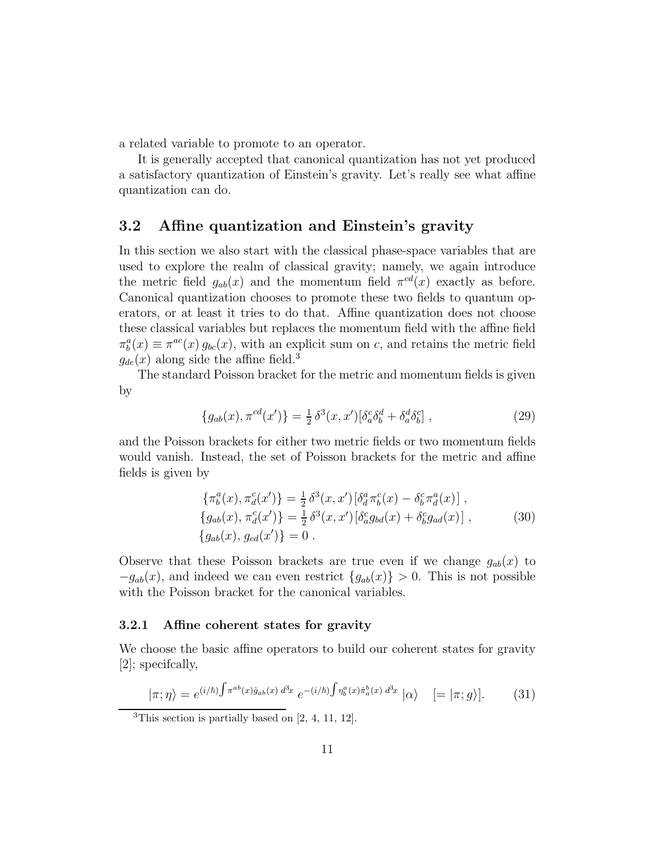a related variable to promote to an operator.

It is generally accepted that canonical quantization has not yet produced a satisfactory quantization of Einstein's gravity. Let's really see what affine quantization can do.

#### 3.2 Affine quantization and Einstein's gravity

In this section we also start with the classical phase-space variables that are used to explore the realm of classical gravity; namely, we again introduce the metric field  $g_{ab}(x)$  and the momentum field  $\pi^{cd}(x)$  exactly as before. Canonical quantization chooses to promote these two fields to quantum operators, or at least it tries to do that. Affine quantization does not choose these classical variables but replaces the momentum field with the affine field  $\pi_b^a(x) \equiv \pi^{ac}(x) g_{bc}(x)$ , with an explicit sum on c, and retains the metric field  $g_{de}(x)$  along side the affine field.<sup>3</sup>

The standard Poisson bracket for the metric and momentum fields is given by

$$
\{g_{ab}(x), \pi^{cd}(x')\} = \frac{1}{2} \delta^3(x, x') [\delta^c_a \delta^d_b + \delta^d_a \delta^c_b], \qquad (29)
$$

and the Poisson brackets for either two metric fields or two momentum fields would vanish. Instead, the set of Poisson brackets for the metric and affine fields is given by

$$
\begin{aligned}\n\{\pi_b^a(x), \pi_a^c(x')\} &= \frac{1}{2} \,\delta^3(x, x') \left[\delta_d^a \pi_b^c(x) - \delta_b^c \pi_d^a(x)\right], \\
\{g_{ab}(x), \pi_a^c(x')\} &= \frac{1}{2} \,\delta^3(x, x') \left[\delta_a^c g_{bd}(x) + \delta_b^c g_{ad}(x)\right], \\
\{g_{ab}(x), g_{cd}(x')\} &= 0.\n\end{aligned} \tag{30}
$$

Observe that these Poisson brackets are true even if we change  $g_{ab}(x)$  to  $-g_{ab}(x)$ , and indeed we can even restrict  ${g_{ab}(x)} > 0$ . This is not possible with the Poisson bracket for the canonical variables.

#### 3.2.1 Affine coherent states for gravity

We choose the basic affine operators to build our coherent states for gravity [2]; specifcally,

$$
|\pi;\eta\rangle = e^{(i/\hbar)\int \pi^{ab}(x)\hat{g}_{ab}(x) d^3x} e^{-(i/\hbar)\int \eta^a_b(x)\hat{\pi}^b_a(x) d^3x} |\alpha\rangle \quad [=\,|\pi;g\rangle]. \tag{31}
$$

 ${}^{3}$ This section is partially based on [2, 4, 11, 12].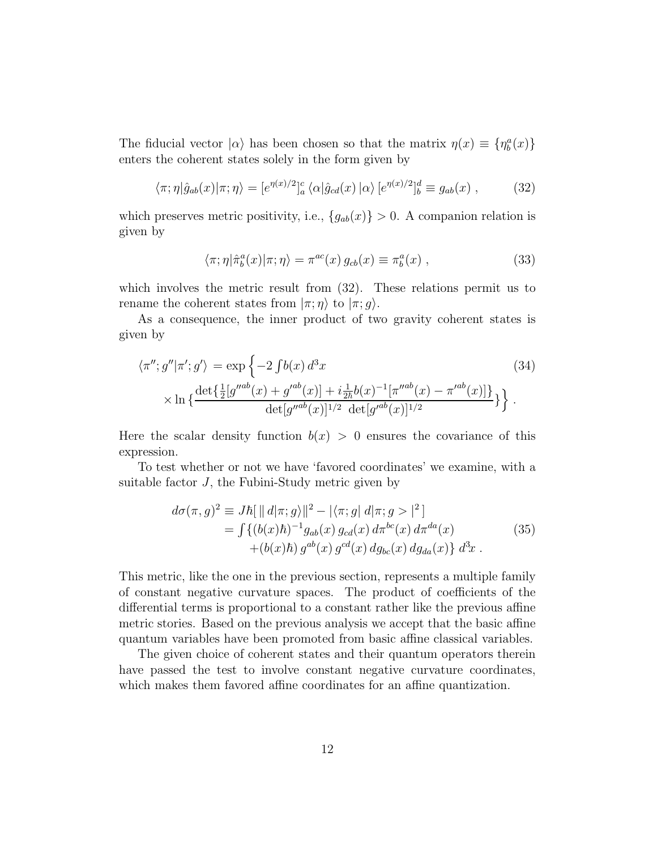The fiducial vector  $|\alpha\rangle$  has been chosen so that the matrix  $\eta(x) \equiv {\eta_b^a(x)}$ enters the coherent states solely in the form given by

$$
\langle \pi; \eta | \hat{g}_{ab}(x) | \pi; \eta \rangle = [e^{\eta(x)/2}]_a^c \langle \alpha | \hat{g}_{cd}(x) | \alpha \rangle [e^{\eta(x)/2}]_b^d \equiv g_{ab}(x) , \qquad (32)
$$

which preserves metric positivity, i.e.,  ${g_{ab}(x)} > 0$ . A companion relation is given by

$$
\langle \pi; \eta | \hat{\pi}_b^a(x) | \pi; \eta \rangle = \pi^{ac}(x) g_{cb}(x) \equiv \pi_b^a(x) , \qquad (33)
$$

which involves the metric result from  $(32)$ . These relations permit us to rename the coherent states from  $|\pi;\eta\rangle$  to  $|\pi;g\rangle$ .

As a consequence, the inner product of two gravity coherent states is given by

$$
\langle \pi''; g'' | \pi' ; g' \rangle = \exp \left\{ -2 \int b(x) d^3 x \right\} \tag{34}
$$
  
 
$$
\times \ln \left\{ \frac{\det \{ \frac{1}{2} [g''^{ab}(x) + g'^{ab}(x)] + i \frac{1}{2\hbar} b(x)^{-1} [\pi''^{ab}(x) - \pi'^{ab}(x)] \}}{\det [g''^{ab}(x)]^{1/2} \det [g'^{ab}(x)]^{1/2}} \right\}.
$$

Here the scalar density function  $b(x) > 0$  ensures the covariance of this expression.

To test whether or not we have 'favored coordinates' we examine, with a suitable factor  $J$ , the Fubini-Study metric given by

$$
d\sigma(\pi, g)^2 \equiv J\hbar [\, ||\, d|\pi; g\rangle\, ||^2 - |\langle \pi; g| \, d|\pi; g\rangle\, |^2 ]
$$
  
= 
$$
\int \{ (b(x)\hbar)^{-1} g_{ab}(x) g_{cd}(x) d\pi^{bc}(x) d\pi^{da}(x) + (b(x)\hbar) g^{ab}(x) g^{cd}(x) d g_{bc}(x) d g_{da}(x) \} d^3x .
$$
 (35)

This metric, like the one in the previous section, represents a multiple family of constant negative curvature spaces. The product of coefficients of the differential terms is proportional to a constant rather like the previous affine metric stories. Based on the previous analysis we accept that the basic affine quantum variables have been promoted from basic affine classical variables.

The given choice of coherent states and their quantum operators therein have passed the test to involve constant negative curvature coordinates, which makes them favored affine coordinates for an affine quantization.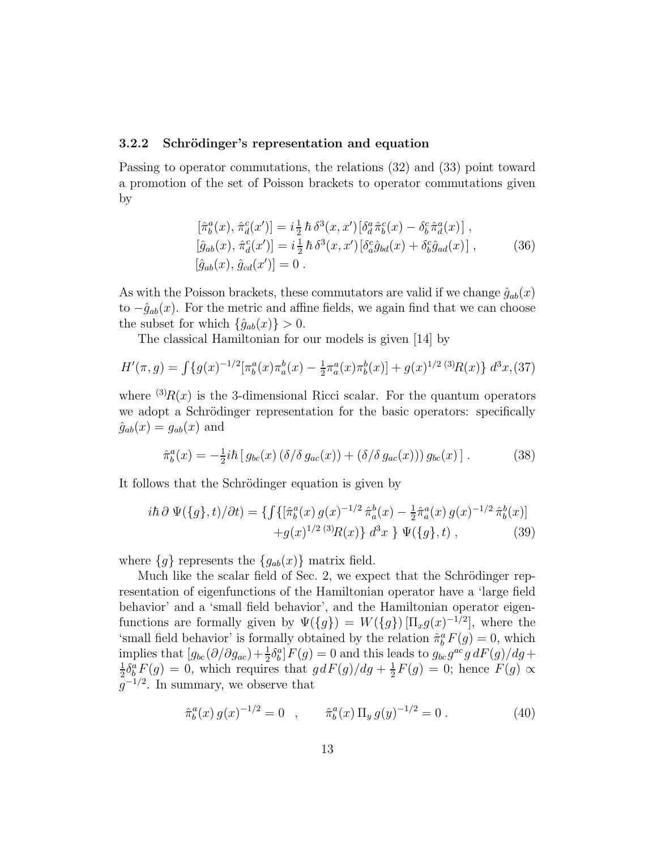#### 3.2.2 Schrödinger's representation and equation

Passing to operator commutations, the relations (32) and (33) point toward a promotion of the set of Poisson brackets to operator commutations given by

$$
[\hat{\pi}_b^a(x), \hat{\pi}_d^c(x')] = i \frac{1}{2} \hbar \delta^3(x, x') [\delta_d^a \hat{\pi}_b^c(x) - \delta_b^c \hat{\pi}_d^a(x)] ,[\hat{g}_{ab}(x), \hat{\pi}_d^c(x')] = i \frac{1}{2} \hbar \delta^3(x, x') [\delta_a^c \hat{g}_{bd}(x) + \delta_b^c \hat{g}_{ad}(x)] , \qquad (36)[\hat{g}_{ab}(x), \hat{g}_{cd}(x')] = 0 .
$$

As with the Poisson brackets, these commutators are valid if we change  $\hat{g}_{ab}(x)$ to  $-\hat{g}_{ab}(x)$ . For the metric and affine fields, we again find that we can choose the subset for which  $\{\hat{g}_{ab}(x)\} > 0$ .

The classical Hamiltonian for our models is given [14] by

$$
H'(\pi, g) = \int \{g(x)^{-1/2} [\pi_b^a(x)\pi_a^b(x) - \frac{1}{2}\pi_a^a(x)\pi_b^b(x)] + g(x)^{1/2} (3)R(x)\} d^3x
$$
 (37)

where  $^{(3)}R(x)$  is the 3-dimensional Ricci scalar. For the quantum operators we adopt a Schrödinger representation for the basic operators: specifically  $\hat{g}_{ab}(x) = g_{ab}(x)$  and

$$
\hat{\pi}_b^a(x) = -\frac{1}{2}i\hbar \left[ g_{bc}(x) \left( \delta/\delta g_{ac}(x) \right) + \left( \delta/\delta g_{ac}(x) \right) \right] g_{bc}(x) \, . \tag{38}
$$

It follows that the Schrödinger equation is given by

$$
i\hbar \,\partial \,\Psi(\{g\},t)/\partial t) = \{ \int \{ [\hat{\pi}_b^a(x) \, g(x)^{-1/2} \, \hat{\pi}_a^b(x) - \frac{1}{2} \hat{\pi}_a^a(x) \, g(x)^{-1/2} \, \hat{\pi}_b^b(x)] \right. \\ \left. + g(x)^{1/2} \, {}^{(3)}\!R(x) \} \, d^3x \, \} \, \Psi(\{g\},t) \,, \tag{39}
$$

where  ${g}$  represents the  ${g}_{ab}(x)$  matrix field.

Much like the scalar field of Sec. 2, we expect that the Schrödinger representation of eigenfunctions of the Hamiltonian operator have a 'large field behavior' and a 'small field behavior', and the Hamiltonian operator eigenfunctions are formally given by  $\Psi({g}) = W({g}) [\Pi_x g(x)^{-1/2}]$ , where the 'small field behavior' is formally obtained by the relation  $\hat{\pi}_b^a F(g) = 0$ , which implies that  $[g_{bc}(\partial/\partial g_{ac}) + \frac{1}{2}\delta_b^a]F(g) = 0$  and this leads to  $g_{bc}g^{ac}g dF(g)/dg +$ 1  $\frac{1}{2}\delta^a_b F(g) = 0$ , which requires that  $gdF(g)/dg + \frac{1}{2}$  $\frac{1}{2}F(g) = 0$ ; hence  $F(g) \propto$  $g^{-1/2}$ . In summary, we observe that

$$
\hat{\pi}_b^a(x) g(x)^{-1/2} = 0 \quad , \qquad \hat{\pi}_b^a(x) \Pi_y g(y)^{-1/2} = 0 \,. \tag{40}
$$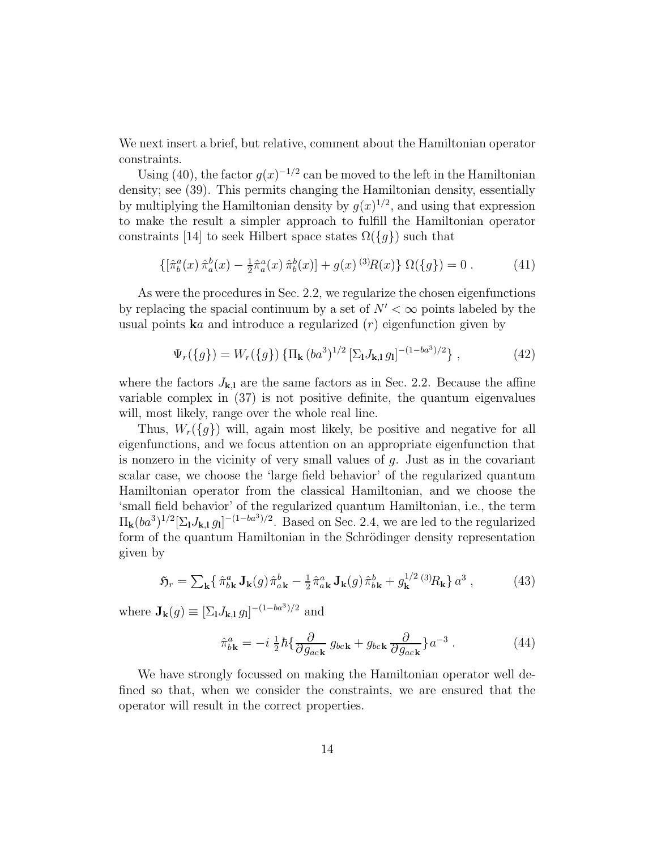We next insert a brief, but relative, comment about the Hamiltonian operator constraints.

Using (40), the factor  $g(x)^{-1/2}$  can be moved to the left in the Hamiltonian density; see (39). This permits changing the Hamiltonian density, essentially by multiplying the Hamiltonian density by  $g(x)^{1/2}$ , and using that expression to make the result a simpler approach to fulfill the Hamiltonian operator constraints [14] to seek Hilbert space states  $\Omega({g})$  such that

$$
\left\{ \left[ \hat{\pi}_b^a(x) \, \hat{\pi}_a^b(x) - \frac{1}{2} \hat{\pi}_a^a(x) \, \hat{\pi}_b^b(x) \right] + g(x)^{(3)} R(x) \right\} \, \Omega(\{g\}) = 0 \,. \tag{41}
$$

As were the procedures in Sec. 2.2, we regularize the chosen eigenfunctions by replacing the spacial continuum by a set of  $N' < \infty$  points labeled by the usual points  $\mathbf{k}a$  and introduce a regularized  $(r)$  eigenfunction given by

$$
\Psi_r(\{g\}) = W_r(\{g\}) \left\{ \Pi_\mathbf{k} (ba^3)^{1/2} \left[ \Sigma_\mathbf{l} J_{\mathbf{k},\mathbf{l}} g_\mathbf{l} \right]^{-(1-ba^3)/2} \right\},\tag{42}
$$

where the factors  $J_{k,l}$  are the same factors as in Sec. 2.2. Because the affine variable complex in (37) is not positive definite, the quantum eigenvalues will, most likely, range over the whole real line.

Thus,  $W_r({g})$  will, again most likely, be positive and negative for all eigenfunctions, and we focus attention on an appropriate eigenfunction that is nonzero in the vicinity of very small values of  $g$ . Just as in the covariant scalar case, we choose the 'large field behavior' of the regularized quantum Hamiltonian operator from the classical Hamiltonian, and we choose the 'small field behavior' of the regularized quantum Hamiltonian, i.e., the term  $\Pi_{\mathbf{k}}(ba^3)^{1/2}[\Sigma_{\mathbf{l}} J_{\mathbf{k},\mathbf{l}} g_{\mathbf{l}}]^{-(1-ba^3)/2}$ . Based on Sec. 2.4, we are led to the regularized form of the quantum Hamiltonian in the Schrödinger density representation given by

$$
\mathfrak{H}_r = \sum_{\mathbf{k}} \left\{ \hat{\pi}_{b\mathbf{k}}^a \mathbf{J}_{\mathbf{k}}(g) \hat{\pi}_{a\mathbf{k}}^b - \frac{1}{2} \hat{\pi}_{a\mathbf{k}}^a \mathbf{J}_{\mathbf{k}}(g) \hat{\pi}_{b\mathbf{k}}^b + g_{\mathbf{k}}^{1/2} \, {}^{(3)}\!R_{\mathbf{k}} \right\} a^3 \,, \tag{43}
$$

where  $\mathbf{J}_{\mathbf{k}}(g) \equiv [\Sigma_{\mathbf{l}} J_{\mathbf{k},\mathbf{l}} g_{\mathbf{l}}]^{-(1-ba^3)/2}$  and

$$
\hat{\pi}_{b\mathbf{k}}^a = -i\frac{1}{2}\hbar \{\frac{\partial}{\partial g_{ac\mathbf{k}}} g_{bc\mathbf{k}} + g_{bc\mathbf{k}} \frac{\partial}{\partial g_{ac\mathbf{k}}} \} a^{-3}.
$$
 (44)

We have strongly focussed on making the Hamiltonian operator well defined so that, when we consider the constraints, we are ensured that the operator will result in the correct properties.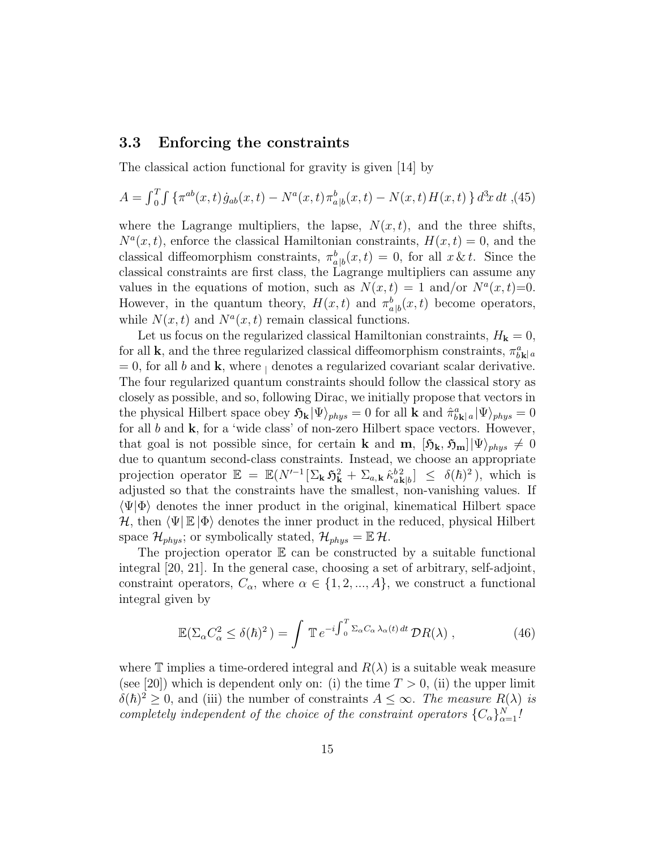#### 3.3 Enforcing the constraints

The classical action functional for gravity is given [14] by

$$
A = \int_0^T \int \{ \pi^{ab}(x, t) \dot{g}_{ab}(x, t) - N^a(x, t) \pi^b_{a|b}(x, t) - N(x, t) H(x, t) \} d^3x dt ,
$$
 (45)

where the Lagrange multipliers, the lapse,  $N(x, t)$ , and the three shifts,  $N^a(x,t)$ , enforce the classical Hamiltonian constraints,  $H(x,t) = 0$ , and the classical diffeomorphism constraints,  $\pi_{a|b}^b(x,t) = 0$ , for all  $x \& t$ . Since the classical constraints are first class, the Lagrange multipliers can assume any values in the equations of motion, such as  $N(x,t) = 1$  and/or  $N^a(x,t)=0$ . However, in the quantum theory,  $H(x,t)$  and  $\pi_{a|b}^b(x,t)$  become operators, while  $N(x,t)$  and  $N^a(x,t)$  remain classical functions.

Let us focus on the regularized classical Hamiltonian constraints,  $H_{\mathbf{k}} = 0$ , for all **k**, and the three regularized classical diffeomorphism constraints,  $\pi^a_{b\mathbf{k}}|a$  $= 0$ , for all b and k, where  $\beta$  denotes a regularized covariant scalar derivative. The four regularized quantum constraints should follow the classical story as closely as possible, and so, following Dirac, we initially propose that vectors in the physical Hilbert space obey  $\mathfrak{H}_{\mathbf{k}} |\Psi\rangle_{phys} = 0$  for all  $\mathbf{k}$  and  $\hat{\pi}_{b\mathbf{k}|a}^a |\Psi\rangle_{phys} = 0$ for all  $b$  and  $k$ , for a 'wide class' of non-zero Hilbert space vectors. However, that goal is not possible since, for certain **k** and **m**,  $[\mathfrak{H}_{k}, \mathfrak{H}_{m}](\Psi)_{phys} \neq 0$ due to quantum second-class constraints. Instead, we choose an appropriate projection operator  $\mathbb{E} = \mathbb{E}(N^{-1}[\Sigma_{\mathbf{k}} \mathfrak{H}_{\mathbf{k}}^2 + \Sigma_{a,\mathbf{k}} \hat{\kappa}_{a\mathbf{k}|b}^{b2}] \leq \delta(\hbar)^2$ , which is adjusted so that the constraints have the smallest, non-vanishing values. If  $\langle \Psi | \Phi \rangle$  denotes the inner product in the original, kinematical Hilbert space H, then  $\langle \Psi | \mathbb{E} | \Phi \rangle$  denotes the inner product in the reduced, physical Hilbert space  $\mathcal{H}_{phys}$ ; or symbolically stated,  $\mathcal{H}_{phys} = \mathbb{E} \mathcal{H}$ .

The projection operator  $E$  can be constructed by a suitable functional integral [20, 21]. In the general case, choosing a set of arbitrary, self-adjoint, constraint operators,  $C_{\alpha}$ , where  $\alpha \in \{1, 2, ..., A\}$ , we construct a functional integral given by

$$
\mathbb{E}(\Sigma_{\alpha}C_{\alpha}^2 \le \delta(\hbar)^2) = \int \mathbb{T} e^{-i \int_0^T \Sigma_{\alpha}C_{\alpha}\lambda_{\alpha}(t) dt} \mathcal{D}R(\lambda) , \qquad (46)
$$

where T implies a time-ordered integral and  $R(\lambda)$  is a suitable weak measure (see [20]) which is dependent only on: (i) the time  $T > 0$ , (ii) the upper limit  $\delta(\hbar)^2 \geq 0$ , and (iii) the number of constraints  $A \leq \infty$ . The measure  $R(\lambda)$  is completely independent of the choice of the constraint operators  ${C_{\alpha}}_{\alpha=1}^{N}$ !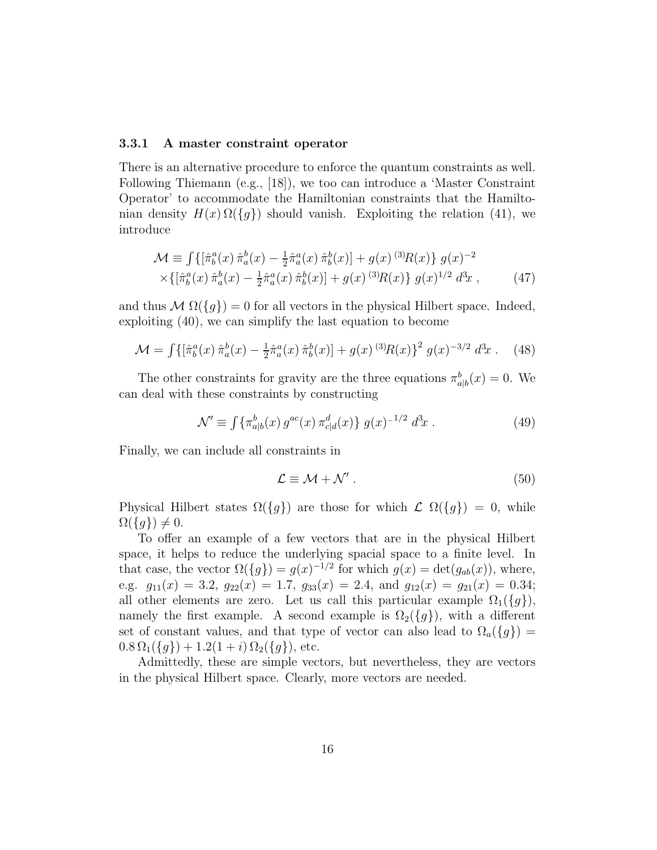#### 3.3.1 A master constraint operator

There is an alternative procedure to enforce the quantum constraints as well. Following Thiemann (e.g., [18]), we too can introduce a 'Master Constraint Operator' to accommodate the Hamiltonian constraints that the Hamiltonian density  $H(x) \Omega({g})$  should vanish. Exploiting the relation (41), we introduce

$$
\mathcal{M} \equiv \int \{ [\hat{\pi}_b^a(x) \ \hat{\pi}_a^b(x) - \frac{1}{2} \hat{\pi}_a^a(x) \ \hat{\pi}_b^b(x)] + g(x)^{(3)} R(x) \} g(x)^{-2} \times \{ [\hat{\pi}_b^a(x) \ \hat{\pi}_a^b(x) - \frac{1}{2} \hat{\pi}_a^a(x) \ \hat{\pi}_b^b(x)] + g(x)^{(3)} R(x) \} g(x)^{1/2} d^3x ,
$$
 (47)

and thus  $\mathcal{M} \Omega({g}) = 0$  for all vectors in the physical Hilbert space. Indeed, exploiting (40), we can simplify the last equation to become

$$
\mathcal{M} = \int \{ \left[ \hat{\pi}_b^a(x) \, \hat{\pi}_a^b(x) - \frac{1}{2} \hat{\pi}_a^a(x) \, \hat{\pi}_b^b(x) \right] + g(x)^{(3)} R(x) \}^2 \, g(x)^{-3/2} \, d^3x \,. \tag{48}
$$

The other constraints for gravity are the three equations  $\pi_{a|b}^b(x) = 0$ . We can deal with these constraints by constructing

$$
\mathcal{N}' \equiv \int \{ \pi_{a|b}^b(x) \, g^{ac}(x) \, \pi_{c|d}^d(x) \} \, g(x)^{-1/2} \, d^3x \,. \tag{49}
$$

Finally, we can include all constraints in

$$
\mathcal{L} \equiv \mathcal{M} + \mathcal{N}' \,. \tag{50}
$$

Physical Hilbert states  $\Omega({g})$  are those for which  $\mathcal{L} \Omega({g}) = 0$ , while  $\Omega({q}) \neq 0.$ 

To offer an example of a few vectors that are in the physical Hilbert space, it helps to reduce the underlying spacial space to a finite level. In that case, the vector  $\Omega({g}) = g(x)^{-1/2}$  for which  $g(x) = \det(g_{ab}(x))$ , where, e.g.  $g_{11}(x) = 3.2$ ,  $g_{22}(x) = 1.7$ ,  $g_{33}(x) = 2.4$ , and  $g_{12}(x) = g_{21}(x) = 0.34$ ; all other elements are zero. Let us call this particular example  $\Omega_1({g}),$ namely the first example. A second example is  $\Omega_2({g})$ , with a different set of constant values, and that type of vector can also lead to  $\Omega_a(\lbrace g \rbrace)$  =  $0.8 \Omega_1({g}) + 1.2(1 + i) \Omega_2({g}),$  etc.

Admittedly, these are simple vectors, but nevertheless, they are vectors in the physical Hilbert space. Clearly, more vectors are needed.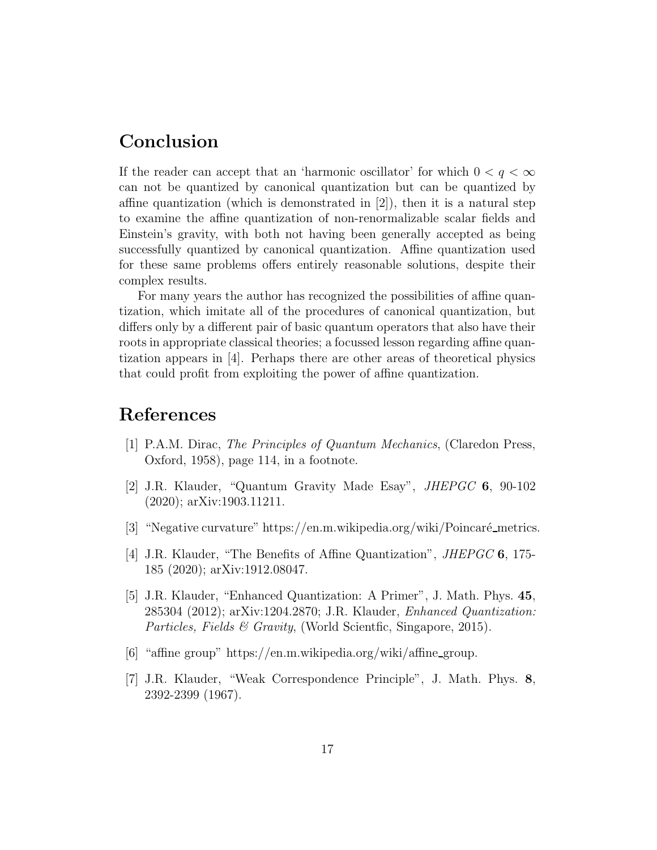## Conclusion

If the reader can accept that an 'harmonic oscillator' for which  $0 < q < \infty$ can not be quantized by canonical quantization but can be quantized by affine quantization (which is demonstrated in  $[2]$ ), then it is a natural step to examine the affine quantization of non-renormalizable scalar fields and Einstein's gravity, with both not having been generally accepted as being successfully quantized by canonical quantization. Affine quantization used for these same problems offers entirely reasonable solutions, despite their complex results.

For many years the author has recognized the possibilities of affine quantization, which imitate all of the procedures of canonical quantization, but differs only by a different pair of basic quantum operators that also have their roots in appropriate classical theories; a focussed lesson regarding affine quantization appears in [4]. Perhaps there are other areas of theoretical physics that could profit from exploiting the power of affine quantization.

## References

- [1] P.A.M. Dirac, The Principles of Quantum Mechanics, (Claredon Press, Oxford, 1958), page 114, in a footnote.
- [2] J.R. Klauder, "Quantum Gravity Made Esay", JHEPGC 6, 90-102 (2020); arXiv:1903.11211.
- [3] "Negative curvature" https://en.m.wikipedia.org/wiki/Poincaré metrics.
- [4] J.R. Klauder, "The Benefits of Affine Quantization", JHEPGC 6, 175- 185 (2020); arXiv:1912.08047.
- [5] J.R. Klauder, "Enhanced Quantization: A Primer", J. Math. Phys. 45, 285304 (2012); arXiv:1204.2870; J.R. Klauder, Enhanced Quantization: Particles, Fields & Gravity, (World Scientfic, Singapore, 2015).
- [6] "affine group" https://en.m.wikipedia.org/wiki/affine group.
- [7] J.R. Klauder, "Weak Correspondence Principle", J. Math. Phys. 8, 2392-2399 (1967).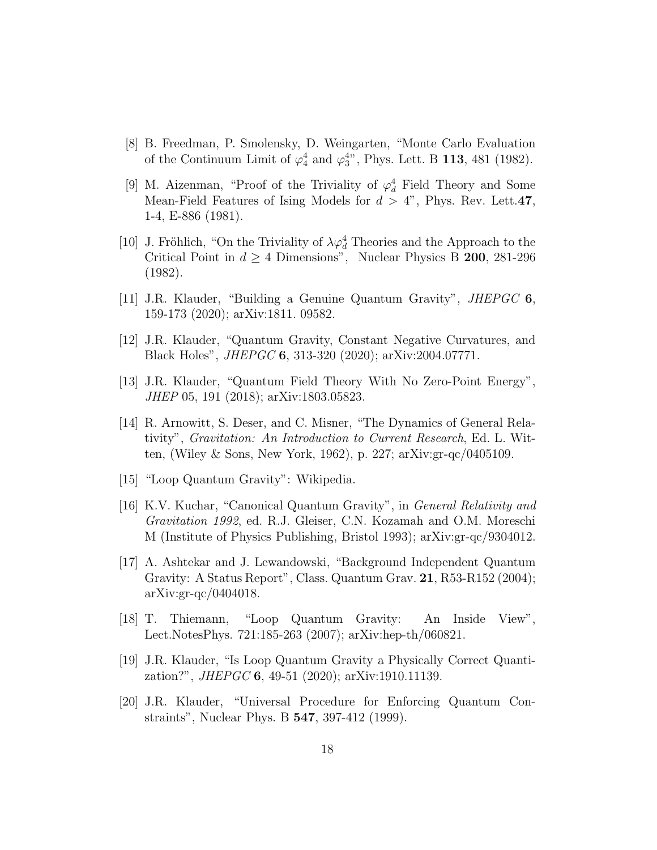- [8] B. Freedman, P. Smolensky, D. Weingarten, "Monte Carlo Evaluation of the Continuum Limit of  $\varphi_4^4$  and  $\varphi_3^{4*}$ , Phys. Lett. B 113, 481 (1982).
- [9] M. Aizenman, "Proof of the Triviality of  $\varphi_d^4$  Field Theory and Some Mean-Field Features of Ising Models for  $d > 4$ ", Phys. Rev. Lett.47, 1-4, E-886 (1981).
- [10] J. Fröhlich, "On the Triviality of  $\lambda \varphi_d^4$  Theories and the Approach to the Critical Point in  $d \geq 4$  Dimensions", Nuclear Physics B 200, 281-296 (1982).
- [11] J.R. Klauder, "Building a Genuine Quantum Gravity", JHEPGC 6, 159-173 (2020); arXiv:1811. 09582.
- [12] J.R. Klauder, "Quantum Gravity, Constant Negative Curvatures, and Black Holes", JHEPGC 6, 313-320 (2020); arXiv:2004.07771.
- [13] J.R. Klauder, "Quantum Field Theory With No Zero-Point Energy", JHEP 05, 191 (2018); arXiv:1803.05823.
- [14] R. Arnowitt, S. Deser, and C. Misner, "The Dynamics of General Relativity", Gravitation: An Introduction to Current Research, Ed. L. Witten, (Wiley & Sons, New York, 1962), p. 227; arXiv:gr-qc/0405109.
- [15] "Loop Quantum Gravity": Wikipedia.
- [16] K.V. Kuchar, "Canonical Quantum Gravity", in General Relativity and Gravitation 1992, ed. R.J. Gleiser, C.N. Kozamah and O.M. Moreschi M (Institute of Physics Publishing, Bristol 1993); arXiv:gr-qc/9304012.
- [17] A. Ashtekar and J. Lewandowski, "Background Independent Quantum Gravity: A Status Report", Class. Quantum Grav. 21, R53-R152 (2004); arXiv:gr-qc/0404018.
- [18] T. Thiemann, "Loop Quantum Gravity: An Inside View", Lect.NotesPhys. 721:185-263 (2007); arXiv:hep-th/060821.
- [19] J.R. Klauder, "Is Loop Quantum Gravity a Physically Correct Quantization?", JHEPGC 6, 49-51 (2020); arXiv:1910.11139.
- [20] J.R. Klauder, "Universal Procedure for Enforcing Quantum Constraints", Nuclear Phys. B 547, 397-412 (1999).